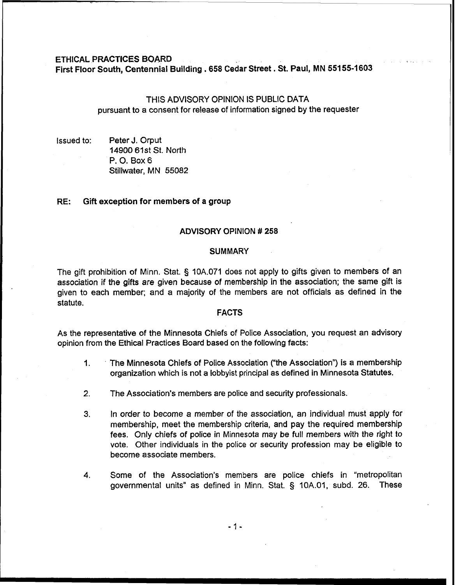### ETHICAL **PRACTICES** BOARD

First Floor South. Centennial Building . **658** cedar Street . St. Paul. MN **55155-1603** 

# THIS ADVISORY OPINION IS PUBLIC DATA pursuant to a consent for release of information signed by the requester

Issued to: Peter J. Orput 14900 61st St. North P. 0. Box 6 Stillwater, MN 55082

### **RE:** Gift exception for members of a group

# ADVISORY OPINION # **258**

#### **SUMMARY**

The gift prohibition of Minn. Stat. § 10A.071 does not apply to gifts given to members of an association if the gifts are given because of membership in the association; the same **gift** is given to each member; and a majority of the members are not officials as defined in the statute.

## FACTS

As the representative of the Minnesota Chiefs of Police Association, you request an advisory opinion from the Ethical Practices Board based on the following facts:

- 1 The Minnesota Chiefs of Police Association ("the Association") is a membership organization which is not a lobbyist principal as defined in Minnesota Statutes.
- **2.** The Association's members are police and security professionals.
- **3.** In order to become a member of the association, an individual must apply for membership, meet the membership criteria, and pay the required membership fees. Only chiefs of police in Minnesota may be full members with the right to vote. Other individuals in the police or security profession may be eligible to become associate members.
- **4.** Some of the Association's members are police chiefs in "metropolitan governmental units" as defined in Minn. Stat. § 10A.01, subd. 26. These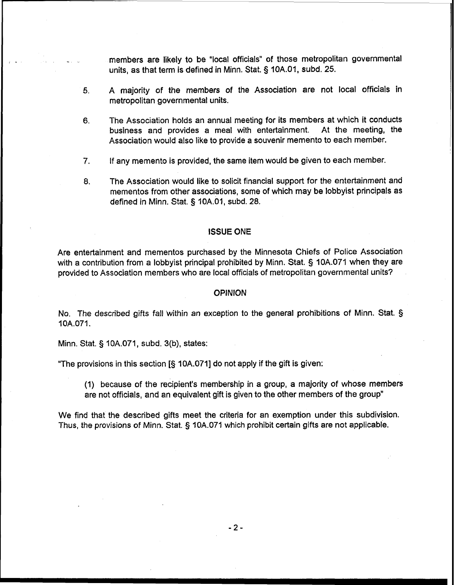members are likely to be "local officials" of those metropolitan governmental units, as that term is defined in Minn. Stat. § 10A.01, subd. 25.

- **5.** A majority of the members of the Association are not local officials in metropolitan governmental units.
- **6.** The Association holds an annual meeting for its members at which it conducts business and provides a meal with entertainment. Association would also like to provide a souvenir memento to each member.
- 7. If any memento is provided, the same item would be given to each member.
- **8.** The Association would like to solicit financial support for the entertainment and mementos from other associations, some of which may be lobbyist principals as defined in Minn. Stat. § 10A.01, subd. 28.

# **ISSUE ONE**

Are entertainment and mementos purchased by the Minnesota Chiefs of Police Association with a contribution from a lobbyist principal prohibited by Minn. Stat. § 10A.071 when they are provided to Association members who are local officials of metropolitan governmental units?

### **OPINION**

No. The described gifts fall 'within an exception to the general prohibitions of Minn. Stat. § 10A.071.

Minn. Stat. § IOA.071, subd. 3(b), states:

"The provisions in this section [§ 10A.071] do not apply if the gift is given:

(1) because of the recipient's membership in a group, a majority of whose members are not officials, and an equivalent gift is given to the other members of the group"

We find that the described gifts meet the criteria for an exemption under this subdivision. Thus, the provisions of Minn. Stat. § 10A.071 which prohibit certain gifts are not applicable.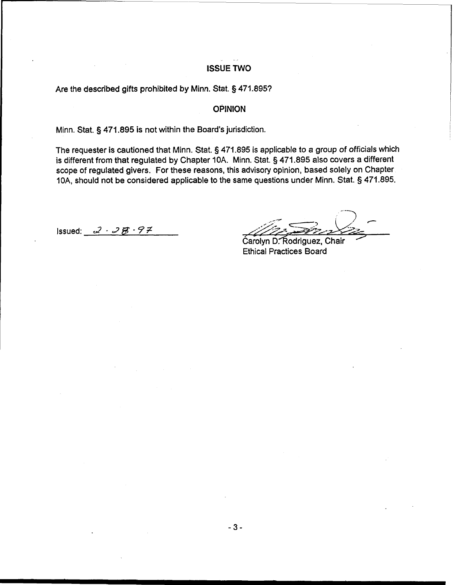# **ISSUE TWO**

Are the described gifts prohibited by Minn. Stat. § 471.895?

**OPINION** 

Minn. Stat. § 471.895 is not within the Board's jurisdiction.

The requester is cautioned that Minn. Stat. § 471.895 is applicable to a group of officials which is different from that regulated by Chapter 10A. Minn. Stat. § 471.895 also covers a different scope of regulated givers. For these reasons, this advisory opinion, based solely on Chapter IOA, should not be considered applicable to the same questions under Minn. Stat. **5** 471.895.

1ssued: 2 - 2  $\cancel{B}$  - 9 7

Carolyn D. Rodriguez, Chair Ethical Practices Board